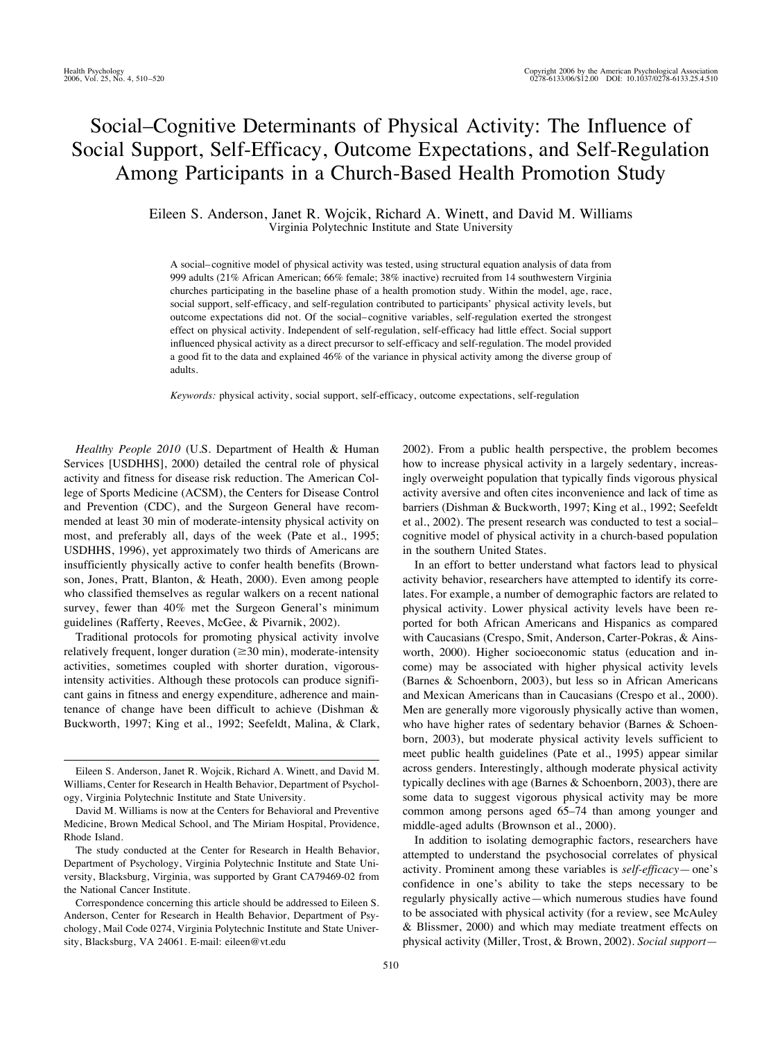# Social–Cognitive Determinants of Physical Activity: The Influence of Social Support, Self-Efficacy, Outcome Expectations, and Self-Regulation Among Participants in a Church-Based Health Promotion Study

Eileen S. Anderson, Janet R. Wojcik, Richard A. Winett, and David M. Williams Virginia Polytechnic Institute and State University

A social– cognitive model of physical activity was tested, using structural equation analysis of data from 999 adults (21% African American; 66% female; 38% inactive) recruited from 14 southwestern Virginia churches participating in the baseline phase of a health promotion study. Within the model, age, race, social support, self-efficacy, and self-regulation contributed to participants' physical activity levels, but outcome expectations did not. Of the social– cognitive variables, self-regulation exerted the strongest effect on physical activity. Independent of self-regulation, self-efficacy had little effect. Social support influenced physical activity as a direct precursor to self-efficacy and self-regulation. The model provided a good fit to the data and explained 46% of the variance in physical activity among the diverse group of adults.

*Keywords:* physical activity, social support, self-efficacy, outcome expectations, self-regulation

*Healthy People 2010* (U.S. Department of Health & Human Services [USDHHS], 2000) detailed the central role of physical activity and fitness for disease risk reduction. The American College of Sports Medicine (ACSM), the Centers for Disease Control and Prevention (CDC), and the Surgeon General have recommended at least 30 min of moderate-intensity physical activity on most, and preferably all, days of the week (Pate et al., 1995; USDHHS, 1996), yet approximately two thirds of Americans are insufficiently physically active to confer health benefits (Brownson, Jones, Pratt, Blanton, & Heath, 2000). Even among people who classified themselves as regular walkers on a recent national survey, fewer than 40% met the Surgeon General's minimum guidelines (Rafferty, Reeves, McGee, & Pivarnik, 2002).

Traditional protocols for promoting physical activity involve relatively frequent, longer duration  $(\geq 30 \text{ min})$ , moderate-intensity activities, sometimes coupled with shorter duration, vigorousintensity activities. Although these protocols can produce significant gains in fitness and energy expenditure, adherence and maintenance of change have been difficult to achieve (Dishman & Buckworth, 1997; King et al., 1992; Seefeldt, Malina, & Clark, 2002). From a public health perspective, the problem becomes how to increase physical activity in a largely sedentary, increasingly overweight population that typically finds vigorous physical activity aversive and often cites inconvenience and lack of time as barriers (Dishman & Buckworth, 1997; King et al., 1992; Seefeldt et al., 2002). The present research was conducted to test a social– cognitive model of physical activity in a church-based population in the southern United States.

In an effort to better understand what factors lead to physical activity behavior, researchers have attempted to identify its correlates. For example, a number of demographic factors are related to physical activity. Lower physical activity levels have been reported for both African Americans and Hispanics as compared with Caucasians (Crespo, Smit, Anderson, Carter-Pokras, & Ainsworth, 2000). Higher socioeconomic status (education and income) may be associated with higher physical activity levels (Barnes & Schoenborn, 2003), but less so in African Americans and Mexican Americans than in Caucasians (Crespo et al., 2000). Men are generally more vigorously physically active than women, who have higher rates of sedentary behavior (Barnes & Schoenborn, 2003), but moderate physical activity levels sufficient to meet public health guidelines (Pate et al., 1995) appear similar across genders. Interestingly, although moderate physical activity typically declines with age (Barnes  $\&$  Schoenborn, 2003), there are some data to suggest vigorous physical activity may be more common among persons aged 65–74 than among younger and middle-aged adults (Brownson et al., 2000).

In addition to isolating demographic factors, researchers have attempted to understand the psychosocial correlates of physical activity. Prominent among these variables is *self-efficacy*— one's confidence in one's ability to take the steps necessary to be regularly physically active—which numerous studies have found to be associated with physical activity (for a review, see McAuley & Blissmer, 2000) and which may mediate treatment effects on physical activity (Miller, Trost, & Brown, 2002). *Social support*—

Eileen S. Anderson, Janet R. Wojcik, Richard A. Winett, and David M. Williams, Center for Research in Health Behavior, Department of Psychology, Virginia Polytechnic Institute and State University.

David M. Williams is now at the Centers for Behavioral and Preventive Medicine, Brown Medical School, and The Miriam Hospital, Providence, Rhode Island.

The study conducted at the Center for Research in Health Behavior, Department of Psychology, Virginia Polytechnic Institute and State University, Blacksburg, Virginia, was supported by Grant CA79469-02 from the National Cancer Institute.

Correspondence concerning this article should be addressed to Eileen S. Anderson, Center for Research in Health Behavior, Department of Psychology, Mail Code 0274, Virginia Polytechnic Institute and State University, Blacksburg, VA 24061. E-mail: eileen@vt.edu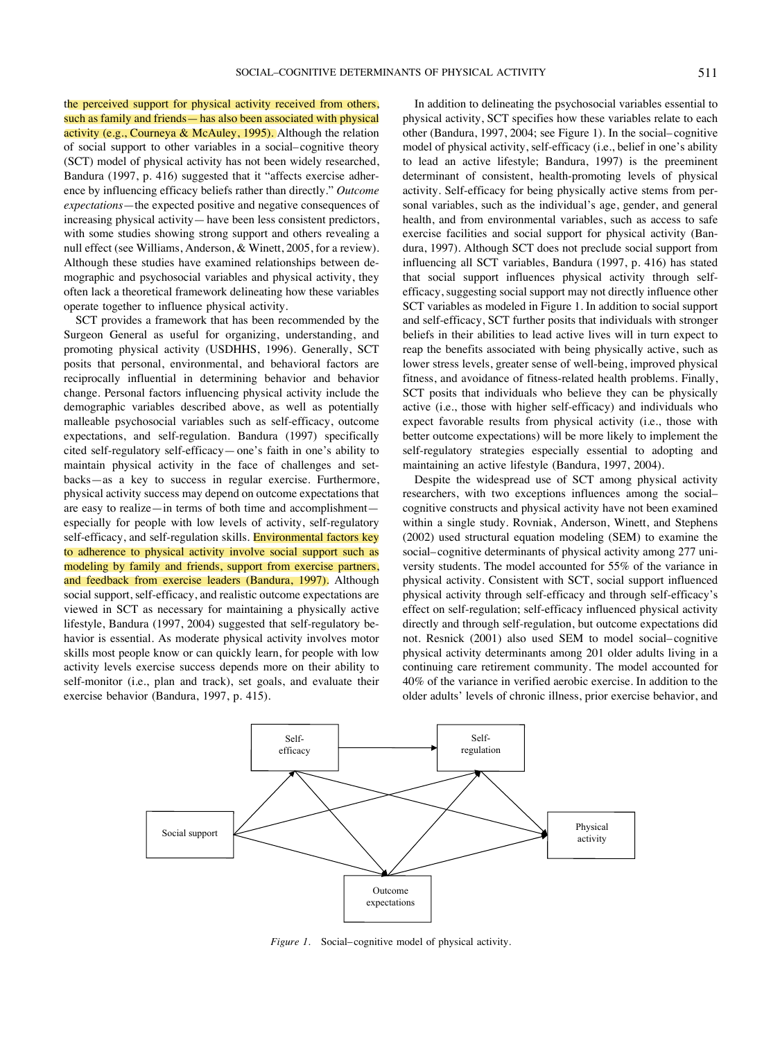the perceived support for physical activity received from others, such as family and friends— has also been associated with physical activity (e.g., Courneya & McAuley, 1995). Although the relation of social support to other variables in a social– cognitive theory (SCT) model of physical activity has not been widely researched, Bandura (1997, p. 416) suggested that it "affects exercise adherence by influencing efficacy beliefs rather than directly." *Outcome expectations*—the expected positive and negative consequences of increasing physical activity— have been less consistent predictors, with some studies showing strong support and others revealing a null effect (see Williams, Anderson, & Winett, 2005, for a review). Although these studies have examined relationships between demographic and psychosocial variables and physical activity, they often lack a theoretical framework delineating how these variables operate together to influence physical activity.

SCT provides a framework that has been recommended by the Surgeon General as useful for organizing, understanding, and promoting physical activity (USDHHS, 1996). Generally, SCT posits that personal, environmental, and behavioral factors are reciprocally influential in determining behavior and behavior change. Personal factors influencing physical activity include the demographic variables described above, as well as potentially malleable psychosocial variables such as self-efficacy, outcome expectations, and self-regulation. Bandura (1997) specifically cited self-regulatory self-efficacy— one's faith in one's ability to maintain physical activity in the face of challenges and setbacks—as a key to success in regular exercise. Furthermore, physical activity success may depend on outcome expectations that are easy to realize—in terms of both time and accomplishment especially for people with low levels of activity, self-regulatory self-efficacy, and self-regulation skills. Environmental factors key to adherence to physical activity involve social support such as modeling by family and friends, support from exercise partners, and feedback from exercise leaders (Bandura, 1997). Although social support, self-efficacy, and realistic outcome expectations are viewed in SCT as necessary for maintaining a physically active lifestyle, Bandura (1997, 2004) suggested that self-regulatory behavior is essential. As moderate physical activity involves motor skills most people know or can quickly learn, for people with low activity levels exercise success depends more on their ability to self-monitor (i.e., plan and track), set goals, and evaluate their exercise behavior (Bandura, 1997, p. 415).

In addition to delineating the psychosocial variables essential to physical activity, SCT specifies how these variables relate to each other (Bandura, 1997, 2004; see Figure 1). In the social– cognitive model of physical activity, self-efficacy (i.e., belief in one's ability to lead an active lifestyle; Bandura, 1997) is the preeminent determinant of consistent, health-promoting levels of physical activity. Self-efficacy for being physically active stems from personal variables, such as the individual's age, gender, and general health, and from environmental variables, such as access to safe exercise facilities and social support for physical activity (Bandura, 1997). Although SCT does not preclude social support from influencing all SCT variables, Bandura (1997, p. 416) has stated that social support influences physical activity through selfefficacy, suggesting social support may not directly influence other SCT variables as modeled in Figure 1. In addition to social support and self-efficacy, SCT further posits that individuals with stronger beliefs in their abilities to lead active lives will in turn expect to reap the benefits associated with being physically active, such as lower stress levels, greater sense of well-being, improved physical fitness, and avoidance of fitness-related health problems. Finally, SCT posits that individuals who believe they can be physically active (i.e., those with higher self-efficacy) and individuals who expect favorable results from physical activity (i.e., those with better outcome expectations) will be more likely to implement the self-regulatory strategies especially essential to adopting and maintaining an active lifestyle (Bandura, 1997, 2004).

Despite the widespread use of SCT among physical activity researchers, with two exceptions influences among the social– cognitive constructs and physical activity have not been examined within a single study. Rovniak, Anderson, Winett, and Stephens (2002) used structural equation modeling (SEM) to examine the social– cognitive determinants of physical activity among 277 university students. The model accounted for 55% of the variance in physical activity. Consistent with SCT, social support influenced physical activity through self-efficacy and through self-efficacy's effect on self-regulation; self-efficacy influenced physical activity directly and through self-regulation, but outcome expectations did not. Resnick (2001) also used SEM to model social– cognitive physical activity determinants among 201 older adults living in a continuing care retirement community. The model accounted for 40% of the variance in verified aerobic exercise. In addition to the older adults' levels of chronic illness, prior exercise behavior, and



*Figure 1.* Social–cognitive model of physical activity.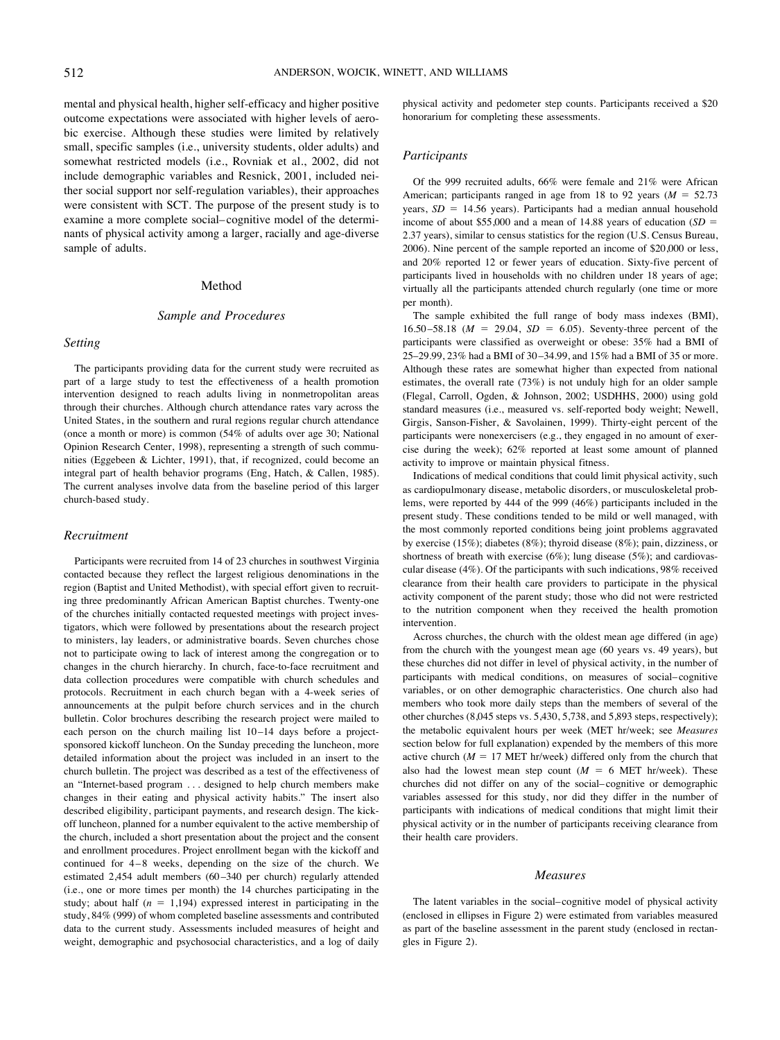mental and physical health, higher self-efficacy and higher positive outcome expectations were associated with higher levels of aerobic exercise. Although these studies were limited by relatively small, specific samples (i.e., university students, older adults) and somewhat restricted models (i.e., Rovniak et al., 2002, did not include demographic variables and Resnick, 2001, included neither social support nor self-regulation variables), their approaches were consistent with SCT. The purpose of the present study is to examine a more complete social– cognitive model of the determinants of physical activity among a larger, racially and age-diverse sample of adults.

# Method

# *Sample and Procedures*

#### *Setting*

The participants providing data for the current study were recruited as part of a large study to test the effectiveness of a health promotion intervention designed to reach adults living in nonmetropolitan areas through their churches. Although church attendance rates vary across the United States, in the southern and rural regions regular church attendance (once a month or more) is common (54% of adults over age 30; National Opinion Research Center, 1998), representing a strength of such communities (Eggebeen & Lichter, 1991), that, if recognized, could become an integral part of health behavior programs (Eng, Hatch, & Callen, 1985). The current analyses involve data from the baseline period of this larger church-based study.

## *Recruitment*

Participants were recruited from 14 of 23 churches in southwest Virginia contacted because they reflect the largest religious denominations in the region (Baptist and United Methodist), with special effort given to recruiting three predominantly African American Baptist churches. Twenty-one of the churches initially contacted requested meetings with project investigators, which were followed by presentations about the research project to ministers, lay leaders, or administrative boards. Seven churches chose not to participate owing to lack of interest among the congregation or to changes in the church hierarchy. In church, face-to-face recruitment and data collection procedures were compatible with church schedules and protocols. Recruitment in each church began with a 4-week series of announcements at the pulpit before church services and in the church bulletin. Color brochures describing the research project were mailed to each person on the church mailing list  $10-14$  days before a projectsponsored kickoff luncheon. On the Sunday preceding the luncheon, more detailed information about the project was included in an insert to the church bulletin. The project was described as a test of the effectiveness of an "Internet-based program . . . designed to help church members make changes in their eating and physical activity habits." The insert also described eligibility, participant payments, and research design. The kickoff luncheon, planned for a number equivalent to the active membership of the church, included a short presentation about the project and the consent and enrollment procedures. Project enrollment began with the kickoff and continued for 4–8 weeks, depending on the size of the church. We estimated 2,454 adult members (60 –340 per church) regularly attended (i.e., one or more times per month) the 14 churches participating in the study; about half  $(n = 1,194)$  expressed interest in participating in the study, 84% (999) of whom completed baseline assessments and contributed data to the current study. Assessments included measures of height and weight, demographic and psychosocial characteristics, and a log of daily

physical activity and pedometer step counts. Participants received a \$20 honorarium for completing these assessments.

## *Participants*

Of the 999 recruited adults, 66% were female and 21% were African American; participants ranged in age from 18 to 92 years  $(M = 52.73)$ years,  $SD = 14.56$  years). Participants had a median annual household income of about \$55,000 and a mean of 14.88 years of education  $(SD =$ 2.37 years), similar to census statistics for the region (U.S. Census Bureau, 2006). Nine percent of the sample reported an income of \$20,000 or less, and 20% reported 12 or fewer years of education. Sixty-five percent of participants lived in households with no children under 18 years of age; virtually all the participants attended church regularly (one time or more per month).

The sample exhibited the full range of body mass indexes (BMI), 16.50 – 58.18 ( $M = 29.04$ ,  $SD = 6.05$ ). Seventy-three percent of the participants were classified as overweight or obese: 35% had a BMI of 25–29.99, 23% had a BMI of 30 –34.99, and 15% had a BMI of 35 or more. Although these rates are somewhat higher than expected from national estimates, the overall rate (73%) is not unduly high for an older sample (Flegal, Carroll, Ogden, & Johnson, 2002; USDHHS, 2000) using gold standard measures (i.e., measured vs. self-reported body weight; Newell, Girgis, Sanson-Fisher, & Savolainen, 1999). Thirty-eight percent of the participants were nonexercisers (e.g., they engaged in no amount of exercise during the week); 62% reported at least some amount of planned activity to improve or maintain physical fitness.

Indications of medical conditions that could limit physical activity, such as cardiopulmonary disease, metabolic disorders, or musculoskeletal problems, were reported by 444 of the 999 (46%) participants included in the present study. These conditions tended to be mild or well managed, with the most commonly reported conditions being joint problems aggravated by exercise (15%); diabetes (8%); thyroid disease (8%); pain, dizziness, or shortness of breath with exercise (6%); lung disease (5%); and cardiovascular disease (4%). Of the participants with such indications, 98% received clearance from their health care providers to participate in the physical activity component of the parent study; those who did not were restricted to the nutrition component when they received the health promotion intervention.

Across churches, the church with the oldest mean age differed (in age) from the church with the youngest mean age (60 years vs. 49 years), but these churches did not differ in level of physical activity, in the number of participants with medical conditions, on measures of social– cognitive variables, or on other demographic characteristics. One church also had members who took more daily steps than the members of several of the other churches (8,045 steps vs. 5,430, 5,738, and 5,893 steps, respectively); the metabolic equivalent hours per week (MET hr/week; see *Measures* section below for full explanation) expended by the members of this more active church  $(M = 17$  MET hr/week) differed only from the church that also had the lowest mean step count  $(M = 6$  MET hr/week). These churches did not differ on any of the social– cognitive or demographic variables assessed for this study, nor did they differ in the number of participants with indications of medical conditions that might limit their physical activity or in the number of participants receiving clearance from their health care providers.

#### *Measures*

The latent variables in the social– cognitive model of physical activity (enclosed in ellipses in Figure 2) were estimated from variables measured as part of the baseline assessment in the parent study (enclosed in rectangles in Figure 2).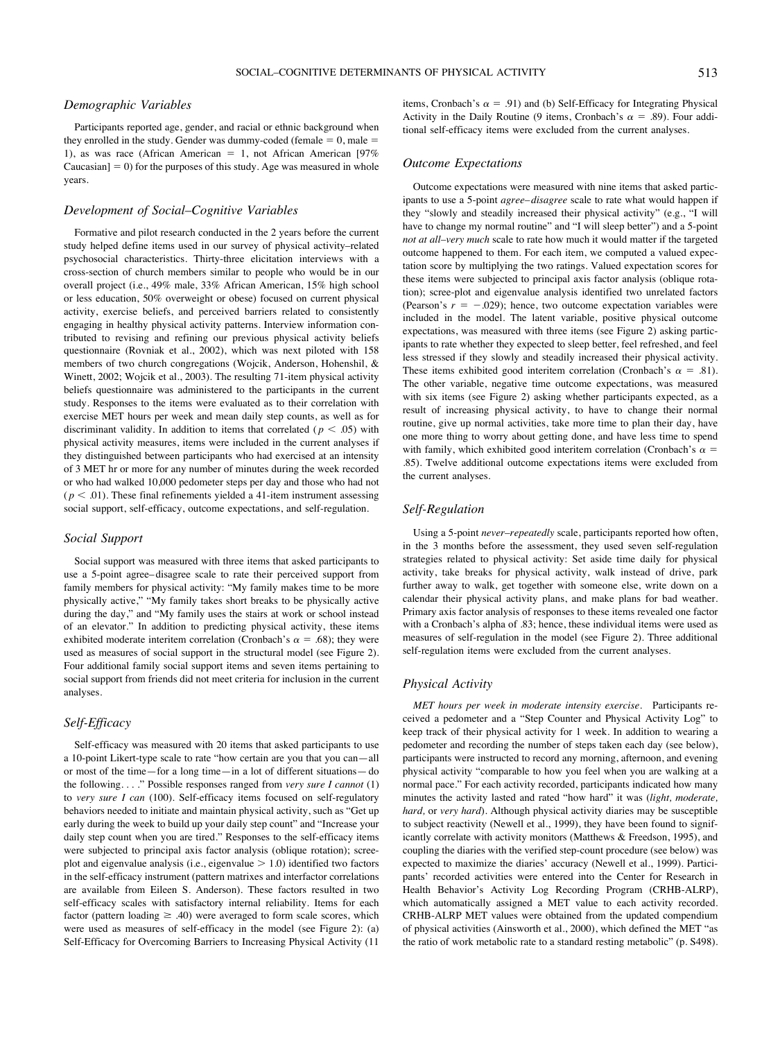# *Demographic Variables*

Participants reported age, gender, and racial or ethnic background when they enrolled in the study. Gender was dummy-coded (female  $= 0$ , male  $=$ 1), as was race (African American  $= 1$ , not African American [97% Caucasian]  $= 0$ ) for the purposes of this study. Age was measured in whole years.

# *Development of Social–Cognitive Variables*

Formative and pilot research conducted in the 2 years before the current study helped define items used in our survey of physical activity–related psychosocial characteristics. Thirty-three elicitation interviews with a cross-section of church members similar to people who would be in our overall project (i.e., 49% male, 33% African American, 15% high school or less education, 50% overweight or obese) focused on current physical activity, exercise beliefs, and perceived barriers related to consistently engaging in healthy physical activity patterns. Interview information contributed to revising and refining our previous physical activity beliefs questionnaire (Rovniak et al., 2002), which was next piloted with 158 members of two church congregations (Wojcik, Anderson, Hohenshil, & Winett, 2002; Wojcik et al., 2003). The resulting 71-item physical activity beliefs questionnaire was administered to the participants in the current study. Responses to the items were evaluated as to their correlation with exercise MET hours per week and mean daily step counts, as well as for discriminant validity. In addition to items that correlated ( $p < .05$ ) with physical activity measures, items were included in the current analyses if they distinguished between participants who had exercised at an intensity of 3 MET hr or more for any number of minutes during the week recorded or who had walked 10,000 pedometer steps per day and those who had not  $(p < .01)$ . These final refinements yielded a 41-item instrument assessing social support, self-efficacy, outcome expectations, and self-regulation.

# *Social Support*

Social support was measured with three items that asked participants to use a 5-point agree– disagree scale to rate their perceived support from family members for physical activity: "My family makes time to be more physically active," "My family takes short breaks to be physically active during the day," and "My family uses the stairs at work or school instead of an elevator." In addition to predicting physical activity, these items exhibited moderate interitem correlation (Cronbach's  $\alpha = .68$ ); they were used as measures of social support in the structural model (see Figure 2). Four additional family social support items and seven items pertaining to social support from friends did not meet criteria for inclusion in the current analyses.

# *Self-Efficacy*

Self-efficacy was measured with 20 items that asked participants to use a 10-point Likert-type scale to rate "how certain are you that you can—all or most of the time—for a long time—in a lot of different situations— do the following. . . ." Possible responses ranged from *very sure I cannot* (1) to *very sure I can* (100). Self-efficacy items focused on self-regulatory behaviors needed to initiate and maintain physical activity, such as "Get up early during the week to build up your daily step count" and "Increase your daily step count when you are tired." Responses to the self-efficacy items were subjected to principal axis factor analysis (oblique rotation); screeplot and eigenvalue analysis (i.e., eigenvalue  $> 1.0$ ) identified two factors in the self-efficacy instrument (pattern matrixes and interfactor correlations are available from Eileen S. Anderson). These factors resulted in two self-efficacy scales with satisfactory internal reliability. Items for each factor (pattern loading  $\geq$  .40) were averaged to form scale scores, which were used as measures of self-efficacy in the model (see Figure 2): (a) Self-Efficacy for Overcoming Barriers to Increasing Physical Activity (11

items, Cronbach's  $\alpha = .91$ ) and (b) Self-Efficacy for Integrating Physical Activity in the Daily Routine (9 items, Cronbach's  $\alpha = .89$ ). Four additional self-efficacy items were excluded from the current analyses.

#### *Outcome Expectations*

Outcome expectations were measured with nine items that asked participants to use a 5-point *agree– disagree* scale to rate what would happen if they "slowly and steadily increased their physical activity" (e.g., "I will have to change my normal routine" and "I will sleep better") and a 5-point *not at all–very much* scale to rate how much it would matter if the targeted outcome happened to them. For each item, we computed a valued expectation score by multiplying the two ratings. Valued expectation scores for these items were subjected to principal axis factor analysis (oblique rotation); scree-plot and eigenvalue analysis identified two unrelated factors (Pearson's  $r = -.029$ ); hence, two outcome expectation variables were included in the model. The latent variable, positive physical outcome expectations, was measured with three items (see Figure 2) asking participants to rate whether they expected to sleep better, feel refreshed, and feel less stressed if they slowly and steadily increased their physical activity. These items exhibited good interitem correlation (Cronbach's  $\alpha = .81$ ). The other variable, negative time outcome expectations, was measured with six items (see Figure 2) asking whether participants expected, as a result of increasing physical activity, to have to change their normal routine, give up normal activities, take more time to plan their day, have one more thing to worry about getting done, and have less time to spend with family, which exhibited good interitem correlation (Cronbach's  $\alpha$  = .85). Twelve additional outcome expectations items were excluded from the current analyses.

# *Self-Regulation*

Using a 5-point *never–repeatedly* scale, participants reported how often, in the 3 months before the assessment, they used seven self-regulation strategies related to physical activity: Set aside time daily for physical activity, take breaks for physical activity, walk instead of drive, park further away to walk, get together with someone else, write down on a calendar their physical activity plans, and make plans for bad weather. Primary axis factor analysis of responses to these items revealed one factor with a Cronbach's alpha of .83; hence, these individual items were used as measures of self-regulation in the model (see Figure 2). Three additional self-regulation items were excluded from the current analyses.

# *Physical Activity*

*MET hours per week in moderate intensity exercise.* Participants received a pedometer and a "Step Counter and Physical Activity Log" to keep track of their physical activity for 1 week. In addition to wearing a pedometer and recording the number of steps taken each day (see below), participants were instructed to record any morning, afternoon, and evening physical activity "comparable to how you feel when you are walking at a normal pace." For each activity recorded, participants indicated how many minutes the activity lasted and rated "how hard" it was (*light, moderate, hard,* or *very hard*). Although physical activity diaries may be susceptible to subject reactivity (Newell et al., 1999), they have been found to significantly correlate with activity monitors (Matthews & Freedson, 1995), and coupling the diaries with the verified step-count procedure (see below) was expected to maximize the diaries' accuracy (Newell et al., 1999). Participants' recorded activities were entered into the Center for Research in Health Behavior's Activity Log Recording Program (CRHB-ALRP), which automatically assigned a MET value to each activity recorded. CRHB-ALRP MET values were obtained from the updated compendium of physical activities (Ainsworth et al., 2000), which defined the MET "as the ratio of work metabolic rate to a standard resting metabolic" (p. S498).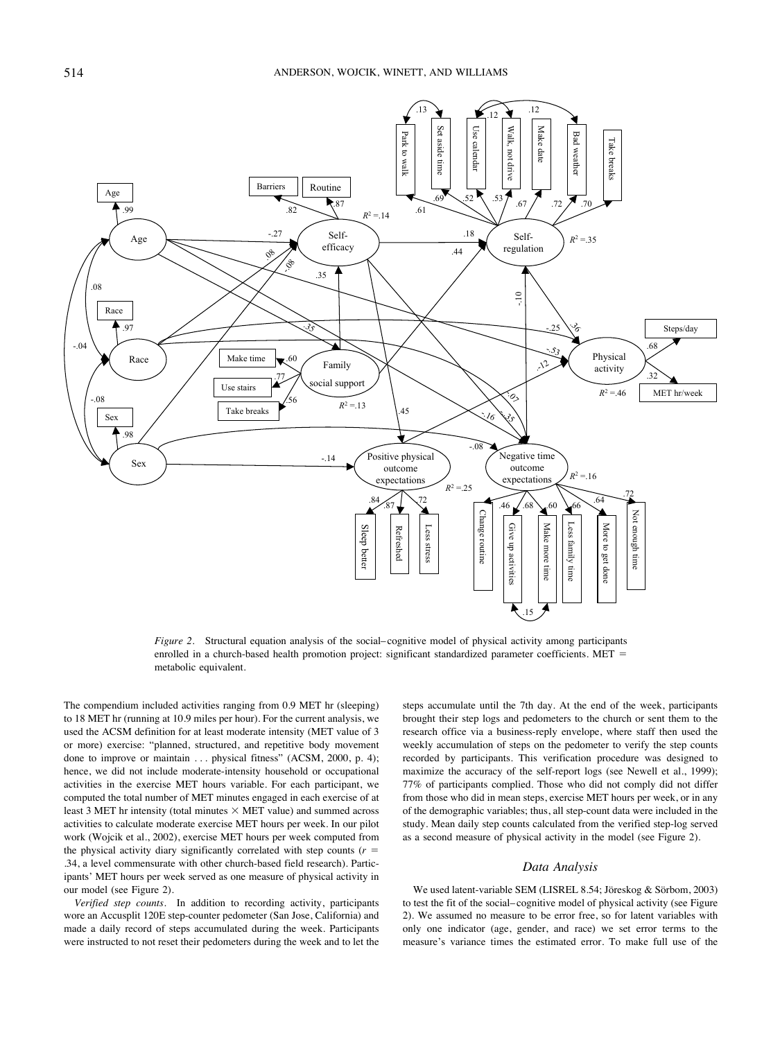

*Figure 2.* Structural equation analysis of the social– cognitive model of physical activity among participants enrolled in a church-based health promotion project: significant standardized parameter coefficients. MET = metabolic equivalent.

The compendium included activities ranging from 0.9 MET hr (sleeping) to 18 MET hr (running at 10.9 miles per hour). For the current analysis, we used the ACSM definition for at least moderate intensity (MET value of 3 or more) exercise: "planned, structured, and repetitive body movement done to improve or maintain ... physical fitness" (ACSM, 2000, p. 4); hence, we did not include moderate-intensity household or occupational activities in the exercise MET hours variable. For each participant, we computed the total number of MET minutes engaged in each exercise of at least 3 MET hr intensity (total minutes  $\times$  MET value) and summed across activities to calculate moderate exercise MET hours per week. In our pilot work (Wojcik et al., 2002), exercise MET hours per week computed from the physical activity diary significantly correlated with step counts ( $r =$ .34, a level commensurate with other church-based field research). Participants' MET hours per week served as one measure of physical activity in our model (see Figure 2).

*Verified step counts.* In addition to recording activity, participants wore an Accusplit 120E step-counter pedometer (San Jose, California) and made a daily record of steps accumulated during the week. Participants were instructed to not reset their pedometers during the week and to let the steps accumulate until the 7th day. At the end of the week, participants brought their step logs and pedometers to the church or sent them to the research office via a business-reply envelope, where staff then used the weekly accumulation of steps on the pedometer to verify the step counts recorded by participants. This verification procedure was designed to maximize the accuracy of the self-report logs (see Newell et al., 1999); 77% of participants complied. Those who did not comply did not differ from those who did in mean steps, exercise MET hours per week, or in any of the demographic variables; thus, all step-count data were included in the study. Mean daily step counts calculated from the verified step-log served as a second measure of physical activity in the model (see Figure 2).

# *Data Analysis*

We used latent-variable SEM (LISREL 8.54; Jöreskog & Sörbom, 2003) to test the fit of the social– cognitive model of physical activity (see Figure 2). We assumed no measure to be error free, so for latent variables with only one indicator (age, gender, and race) we set error terms to the measure's variance times the estimated error. To make full use of the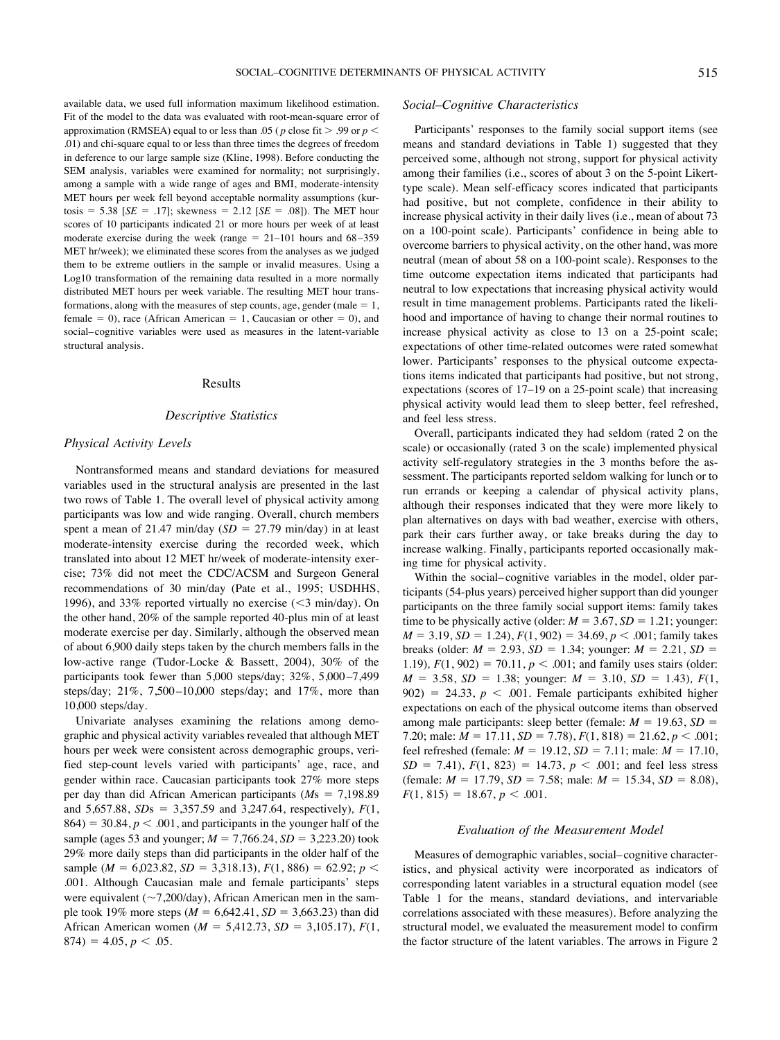available data, we used full information maximum likelihood estimation. Fit of the model to the data was evaluated with root-mean-square error of approximation (RMSEA) equal to or less than .05 ( $p$  close fit  $>$  .99 or  $p$  < .01) and chi-square equal to or less than three times the degrees of freedom in deference to our large sample size (Kline, 1998). Before conducting the SEM analysis, variables were examined for normality; not surprisingly, among a sample with a wide range of ages and BMI, moderate-intensity MET hours per week fell beyond acceptable normality assumptions (kurtosis = 5.38 [ $SE = .17$ ]; skewness = 2.12 [ $SE = .08$ ]). The MET hour scores of 10 participants indicated 21 or more hours per week of at least moderate exercise during the week (range  $= 21-101$  hours and  $68-359$ MET hr/week); we eliminated these scores from the analyses as we judged them to be extreme outliers in the sample or invalid measures. Using a Log10 transformation of the remaining data resulted in a more normally distributed MET hours per week variable. The resulting MET hour transformations, along with the measures of step counts, age, gender (male  $= 1$ , female  $= 0$ ), race (African American  $= 1$ , Caucasian or other  $= 0$ ), and social– cognitive variables were used as measures in the latent-variable structural analysis.

#### Results

# *Descriptive Statistics*

## *Physical Activity Levels*

Nontransformed means and standard deviations for measured variables used in the structural analysis are presented in the last two rows of Table 1. The overall level of physical activity among participants was low and wide ranging. Overall, church members spent a mean of 21.47 min/day  $(SD = 27.79 \text{ min/day})$  in at least moderate-intensity exercise during the recorded week, which translated into about 12 MET hr/week of moderate-intensity exercise; 73% did not meet the CDC/ACSM and Surgeon General recommendations of 30 min/day (Pate et al., 1995; USDHHS, 1996), and 33% reported virtually no exercise  $(<$ 3 min/day). On the other hand, 20% of the sample reported 40-plus min of at least moderate exercise per day. Similarly, although the observed mean of about 6,900 daily steps taken by the church members falls in the low-active range (Tudor-Locke & Bassett, 2004), 30% of the participants took fewer than 5,000 steps/day; 32%, 5,000 –7,499 steps/day; 21%, 7,500 –10,000 steps/day; and 17%, more than 10,000 steps/day.

Univariate analyses examining the relations among demographic and physical activity variables revealed that although MET hours per week were consistent across demographic groups, verified step-count levels varied with participants' age, race, and gender within race. Caucasian participants took 27% more steps per day than did African American participants ( $Ms = 7,198.89$ ) and 5,657.88, *SD*s ! 3,357.59 and 3,247.64, respectively)*, F*(1,  $864$ ) = 30.84,  $p < .001$ , and participants in the younger half of the sample (ages 53 and younger;  $M = 7,766.24$ ,  $SD = 3,223.20$ ) took 29% more daily steps than did participants in the older half of the sample ( $M = 6,023.82, SD = 3,318.13$ ),  $F(1, 886) = 62.92$ ;  $p <$ .001. Although Caucasian male and female participants' steps were equivalent ( $\sim$ 7,200/day), African American men in the sample took 19% more steps  $(M = 6,642.41, SD = 3,663.23)$  than did African American women ( $M = 5,412.73$ ,  $SD = 3,105.17$ ),  $F(1,$  $874$ ) = 4.05, *p* < .05.

# *Social–Cognitive Characteristics*

Participants' responses to the family social support items (see means and standard deviations in Table 1) suggested that they perceived some, although not strong, support for physical activity among their families (i.e., scores of about 3 on the 5-point Likerttype scale). Mean self-efficacy scores indicated that participants had positive, but not complete, confidence in their ability to increase physical activity in their daily lives (i.e., mean of about 73 on a 100-point scale). Participants' confidence in being able to overcome barriers to physical activity, on the other hand, was more neutral (mean of about 58 on a 100-point scale). Responses to the time outcome expectation items indicated that participants had neutral to low expectations that increasing physical activity would result in time management problems. Participants rated the likelihood and importance of having to change their normal routines to increase physical activity as close to 13 on a 25-point scale; expectations of other time-related outcomes were rated somewhat lower. Participants' responses to the physical outcome expectations items indicated that participants had positive, but not strong, expectations (scores of 17–19 on a 25-point scale) that increasing physical activity would lead them to sleep better, feel refreshed, and feel less stress.

Overall, participants indicated they had seldom (rated 2 on the scale) or occasionally (rated 3 on the scale) implemented physical activity self-regulatory strategies in the 3 months before the assessment. The participants reported seldom walking for lunch or to run errands or keeping a calendar of physical activity plans, although their responses indicated that they were more likely to plan alternatives on days with bad weather, exercise with others, park their cars further away, or take breaks during the day to increase walking. Finally, participants reported occasionally making time for physical activity.

Within the social– cognitive variables in the model, older participants (54-plus years) perceived higher support than did younger participants on the three family social support items: family takes time to be physically active (older:  $M = 3.67$ ,  $SD = 1.21$ ; younger:  $M = 3.19$ ,  $SD = 1.24$ ,  $F(1, 902) = 34.69$ ,  $p < .001$ ; family takes breaks (older:  $M = 2.93$ ,  $SD = 1.34$ ; younger:  $M = 2.21$ ,  $SD =$ 1.19)*, F*(1, 902) = 70.11,  $p < .001$ ; and family uses stairs (older:  $M = 3.58$ ,  $SD = 1.38$ ; younger:  $M = 3.10$ ,  $SD = 1.43$ ),  $F(1, 1)$  $902$ ) = 24.33,  $p < .001$ . Female participants exhibited higher expectations on each of the physical outcome items than observed among male participants: sleep better (female:  $M = 19.63$ ,  $SD =$ 7.20; male:  $M = 17.11$ ,  $SD = 7.78$ ,  $F(1, 818) = 21.62$ ,  $p < .001$ ; feel refreshed (female:  $M = 19.12$ ,  $SD = 7.11$ ; male:  $M = 17.10$ ,  $SD = 7.41$ ,  $F(1, 823) = 14.73$ ,  $p < .001$ ; and feel less stress (female:  $M = 17.79$ ,  $SD = 7.58$ ; male:  $M = 15.34$ ,  $SD = 8.08$ ),  $F(1, 815) = 18.67, p < .001.$ 

#### *Evaluation of the Measurement Model*

Measures of demographic variables, social– cognitive characteristics, and physical activity were incorporated as indicators of corresponding latent variables in a structural equation model (see Table 1 for the means, standard deviations, and intervariable correlations associated with these measures). Before analyzing the structural model, we evaluated the measurement model to confirm the factor structure of the latent variables. The arrows in Figure 2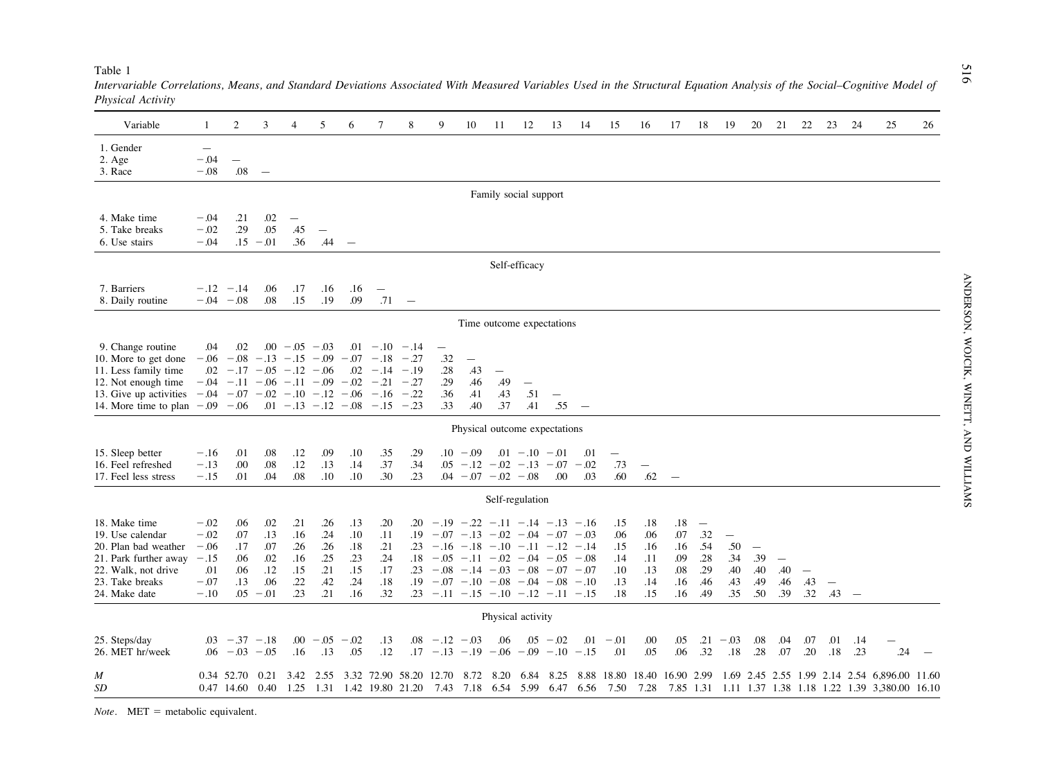| Variable                                                                                                                                                                                                 | 1                                                     | 2                                             | 3                                                | $\overline{4}$                                                                                                                                                                                                                | 5                                             | 6                                             | 7                                             | 8                                         | 9                                                                                                                                                                                                                                                                                                                       | 10                                                   | 11                                            | 12                                                 | 13                              | 14                            | 15                                            | 16                                            | 17                                            | 18                                                                 | 19                                                          | 20                                                   | 21                                            | 22                              | 23                              | 24                       | 25                                                                                     | 26    |
|----------------------------------------------------------------------------------------------------------------------------------------------------------------------------------------------------------|-------------------------------------------------------|-----------------------------------------------|--------------------------------------------------|-------------------------------------------------------------------------------------------------------------------------------------------------------------------------------------------------------------------------------|-----------------------------------------------|-----------------------------------------------|-----------------------------------------------|-------------------------------------------|-------------------------------------------------------------------------------------------------------------------------------------------------------------------------------------------------------------------------------------------------------------------------------------------------------------------------|------------------------------------------------------|-----------------------------------------------|----------------------------------------------------|---------------------------------|-------------------------------|-----------------------------------------------|-----------------------------------------------|-----------------------------------------------|--------------------------------------------------------------------|-------------------------------------------------------------|------------------------------------------------------|-----------------------------------------------|---------------------------------|---------------------------------|--------------------------|----------------------------------------------------------------------------------------|-------|
| 1. Gender<br>$2. \text{Age}$<br>3. Race                                                                                                                                                                  | $\overbrace{\phantom{12322111}}$<br>$-.04$<br>$-.08$  | $.08\,$                                       | $\hspace{0.1mm}-\hspace{0.1mm}$                  |                                                                                                                                                                                                                               |                                               |                                               |                                               |                                           |                                                                                                                                                                                                                                                                                                                         |                                                      |                                               |                                                    |                                 |                               |                                               |                                               |                                               |                                                                    |                                                             |                                                      |                                               |                                 |                                 |                          |                                                                                        |       |
| Family social support                                                                                                                                                                                    |                                                       |                                               |                                                  |                                                                                                                                                                                                                               |                                               |                                               |                                               |                                           |                                                                                                                                                                                                                                                                                                                         |                                                      |                                               |                                                    |                                 |                               |                                               |                                               |                                               |                                                                    |                                                             |                                                      |                                               |                                 |                                 |                          |                                                                                        |       |
| 4. Make time<br>5. Take breaks<br>6. Use stairs                                                                                                                                                          | $-.04$<br>$-.02$<br>$-.04$                            | .21<br>.29                                    | .02<br>.05<br>$.15 - .01$                        | $\overline{\phantom{m}}$<br>.45<br>.36                                                                                                                                                                                        | $\overline{\phantom{m}}$<br>.44               | $\hspace{0.1mm}$                              |                                               |                                           |                                                                                                                                                                                                                                                                                                                         |                                                      |                                               |                                                    |                                 |                               |                                               |                                               |                                               |                                                                    |                                                             |                                                      |                                               |                                 |                                 |                          |                                                                                        |       |
| Self-efficacy                                                                                                                                                                                            |                                                       |                                               |                                                  |                                                                                                                                                                                                                               |                                               |                                               |                                               |                                           |                                                                                                                                                                                                                                                                                                                         |                                                      |                                               |                                                    |                                 |                               |                                               |                                               |                                               |                                                                    |                                                             |                                                      |                                               |                                 |                                 |                          |                                                                                        |       |
| 7. Barriers<br>8. Daily routine                                                                                                                                                                          |                                                       | $-.12 - .14$<br>$-.04 - .08$                  | .06<br>.08                                       | .17<br>.15                                                                                                                                                                                                                    | .16<br>.19                                    | .16<br>.09                                    | $\overline{\phantom{m}}$<br>.71               | $\overline{\phantom{a}}$                  |                                                                                                                                                                                                                                                                                                                         |                                                      |                                               |                                                    |                                 |                               |                                               |                                               |                                               |                                                                    |                                                             |                                                      |                                               |                                 |                                 |                          |                                                                                        |       |
| Time outcome expectations                                                                                                                                                                                |                                                       |                                               |                                                  |                                                                                                                                                                                                                               |                                               |                                               |                                               |                                           |                                                                                                                                                                                                                                                                                                                         |                                                      |                                               |                                                    |                                 |                               |                                               |                                               |                                               |                                                                    |                                                             |                                                      |                                               |                                 |                                 |                          |                                                                                        |       |
| 9. Change routine<br>10. More to get done<br>11. Less family time<br>12. Not enough time<br>13. Give up activities $-.04 - .07 - .02 - .10 - .12 - .06 - .16 - .22$<br>14. More time to plan $-.09$ -.06 | .04                                                   | .02                                           |                                                  | $.00 - .05 - .03$<br>$-0.06$ $-0.08$ $-0.13$ $-0.15$ $-0.09$ $-0.7$ $-0.18$ $-0.27$<br>$.02 - .17 - .05 - .12 - .06$<br>$-0.04$ $-0.11$ $-0.06$ $-0.11$ $-0.09$ $-0.2$ $-0.21$ $-0.27$<br>$.01 - .13 - .12 - .08 - .15 - .23$ |                                               |                                               | $.01 - .10 - .14$<br>$.02 - .14 - .19$        |                                           | $\overline{\phantom{m}}$<br>.32<br>.28<br>.29<br>.36<br>.33                                                                                                                                                                                                                                                             | $\overline{\phantom{m}}$<br>.43<br>.46<br>.41<br>.40 | $\overline{\phantom{m}}$<br>.49<br>.43<br>.37 | $\overline{\phantom{0}}$<br>.51<br>.41             | $\overline{\phantom{m}}$<br>.55 | $\overline{\phantom{a}}$      |                                               |                                               |                                               |                                                                    |                                                             |                                                      |                                               |                                 |                                 |                          |                                                                                        |       |
| Physical outcome expectations                                                                                                                                                                            |                                                       |                                               |                                                  |                                                                                                                                                                                                                               |                                               |                                               |                                               |                                           |                                                                                                                                                                                                                                                                                                                         |                                                      |                                               |                                                    |                                 |                               |                                               |                                               |                                               |                                                                    |                                                             |                                                      |                                               |                                 |                                 |                          |                                                                                        |       |
| 15. Sleep better<br>16. Feel refreshed<br>17. Feel less stress                                                                                                                                           | $-.16$<br>$-.13$<br>$-.15$                            | .01<br>.00<br>.01                             | .08<br>$.08\,$<br>.04                            | .12<br>.12<br>.08                                                                                                                                                                                                             | .09<br>.13<br>.10                             | .10<br>.14<br>.10                             | .35<br>.37<br>.30                             | .29<br>.34<br>.23                         |                                                                                                                                                                                                                                                                                                                         | $.10 - .09$<br>$.04 - .07 - .02 - .08$               |                                               | $.01 - .10 - .01$<br>$.05 - .12 - .02 - .13 - .07$ | .00                             | .01<br>$-.02$<br>.03          | .73<br>.60                                    | $\overline{\phantom{0}}$<br>.62               | $\overline{\phantom{m}}$                      |                                                                    |                                                             |                                                      |                                               |                                 |                                 |                          |                                                                                        |       |
| Self-regulation                                                                                                                                                                                          |                                                       |                                               |                                                  |                                                                                                                                                                                                                               |                                               |                                               |                                               |                                           |                                                                                                                                                                                                                                                                                                                         |                                                      |                                               |                                                    |                                 |                               |                                               |                                               |                                               |                                                                    |                                                             |                                                      |                                               |                                 |                                 |                          |                                                                                        |       |
| 18. Make time<br>19. Use calendar<br>20. Plan bad weather<br>21. Park further away $-.15$<br>22. Walk, not drive<br>23. Take breaks<br>24. Make date                                                     | $-.02$<br>$-.02$<br>$-.06$<br>.01<br>$-.07$<br>$-.10$ | .06<br>.07<br>.17<br>.06<br>.06<br>.13<br>.05 | .02<br>.13<br>.07<br>.02<br>.12<br>.06<br>$-.01$ | .21<br>.16<br>.26<br>.16<br>.15<br>.22<br>.23                                                                                                                                                                                 | .26<br>.24<br>.26<br>.25<br>.21<br>.42<br>.21 | .13<br>.10<br>.18<br>.23<br>.15<br>.24<br>.16 | .20<br>.11<br>.21<br>.24<br>.17<br>.18<br>.32 |                                           | $.20 - .19 - .22 - .11 - .14 - .13 - .16$<br>$.19 - .07 - .13 - .02 - .04 - .07 - .03$<br>$.23 - .16 - .18 - .10 - .11 - .12 - .14$<br>$.18 - .05 - .11 - .02 - .04 - .05 - .08$<br>$.23 - .08 - .14 - .03 - .08 - .07 - .07$<br>$.19 - .07 - .10 - .08 - .04 - .08 - .10$<br>$.23 - .11 - .15 - .10 - .12 - .11 - .15$ |                                                      |                                               |                                                    |                                 |                               | .15<br>.06<br>.15<br>.14<br>.10<br>.13<br>.18 | .18<br>.06<br>.16<br>.11<br>.13<br>.14<br>.15 | .18<br>.07<br>.16<br>.09<br>.08<br>.16<br>.16 | $\overline{\phantom{a}}$<br>.32<br>.54<br>.28<br>.29<br>.46<br>.49 | $\overline{\phantom{m}}$<br>.50<br>.34<br>.40<br>.43<br>.35 | $\overline{\phantom{m}}$<br>.39<br>.40<br>.49<br>.50 | $\overline{\phantom{m}}$<br>.40<br>.46<br>.39 | $\qquad \qquad -$<br>.43<br>.32 | $\overline{\phantom{m}}$<br>.43 | $\overline{\phantom{a}}$ |                                                                                        |       |
| Physical activity                                                                                                                                                                                        |                                                       |                                               |                                                  |                                                                                                                                                                                                                               |                                               |                                               |                                               |                                           |                                                                                                                                                                                                                                                                                                                         |                                                      |                                               |                                                    |                                 |                               |                                               |                                               |                                               |                                                                    |                                                             |                                                      |                                               |                                 |                                 |                          |                                                                                        |       |
| 25. Steps/day<br>26. MET hr/week                                                                                                                                                                         |                                                       | $.03 - .37 - .18$<br>$.06 - 03 - 05$          |                                                  | .16                                                                                                                                                                                                                           | $.00 - .05 - .02$<br>.13                      | .05                                           | .13<br>.12                                    |                                           | $.08 - .12 - .03$<br>$.17 - .13 - .19 - .06 - .09 - .10 - .15$                                                                                                                                                                                                                                                          |                                                      | .06                                           |                                                    | $.05 - .02$                     | .01                           | $-.01$<br>.01                                 | .00<br>.05                                    | .05<br>.06                                    | .21<br>.32                                                         | $-.03$<br>.18                                               | .08<br>.28                                           | .04<br>.07                                    | .07<br>.20                      | .01<br>.18                      | .14<br>.23               | .24                                                                                    |       |
| M<br><b>SD</b>                                                                                                                                                                                           |                                                       | 0.34 52.70<br>0.47 14.60                      | 0.21<br>0.40                                     | 3.42<br>1.25                                                                                                                                                                                                                  | 2.55                                          |                                               |                                               | 3.32 72.90 58.20<br>1.31 1.42 19.80 21.20 | 12.70 8.72                                                                                                                                                                                                                                                                                                              |                                                      | 8.20                                          | 6.84                                               | 8.25                            | 7.43 7.18 6.54 5.99 6.47 6.56 | 8.88 18.80<br>7.50                            | 18.40 16.90 2.99<br>7.28                      | 7.85 1.31                                     |                                                                    |                                                             |                                                      |                                               |                                 |                                 |                          | 1.69 2.45 2.55 1.99 2.14 2.54 6,896.00<br>1.11 1.37 1.38 1.18 1.22 1.39 3,380.00 16.10 | 11.60 |

*Intervariable Correlations, Means, and Standard Deviations Associated With Measured Variables Used in the Structural Equation Analysis of the Social–Cognitive Model of Physical Activity*

*Note.* MET = metabolic equivalent.

Table 1

516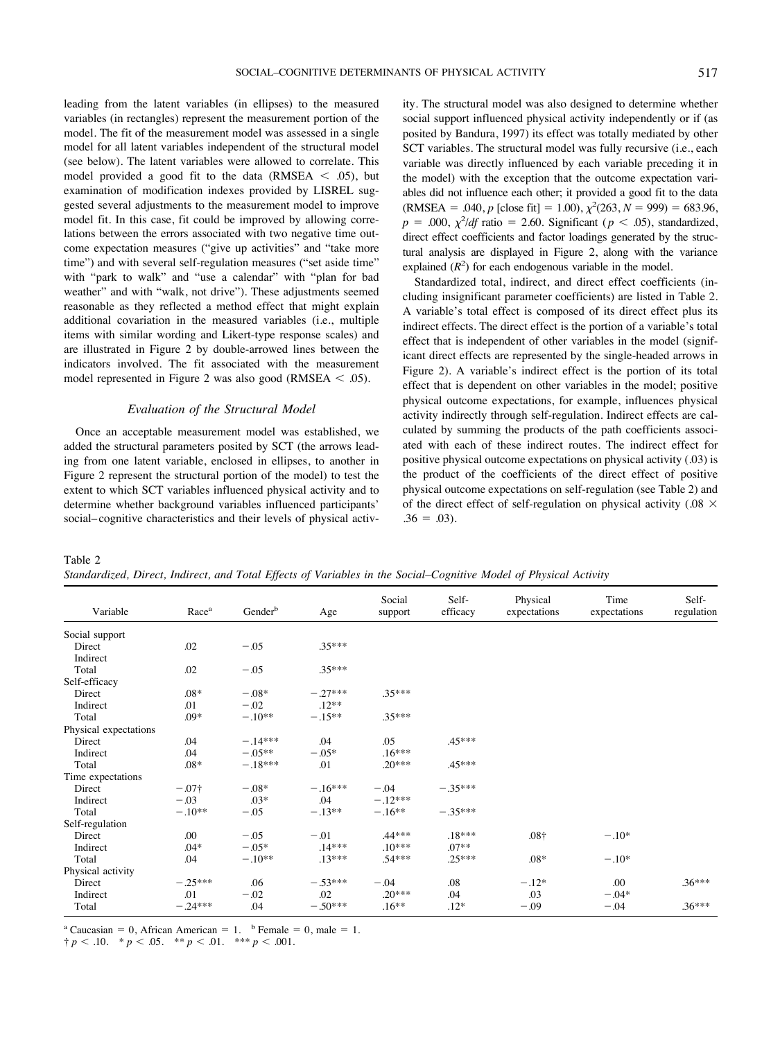leading from the latent variables (in ellipses) to the measured variables (in rectangles) represent the measurement portion of the model. The fit of the measurement model was assessed in a single model for all latent variables independent of the structural model (see below). The latent variables were allowed to correlate. This model provided a good fit to the data (RMSEA  $\le$  .05), but examination of modification indexes provided by LISREL suggested several adjustments to the measurement model to improve model fit. In this case, fit could be improved by allowing correlations between the errors associated with two negative time outcome expectation measures ("give up activities" and "take more time") and with several self-regulation measures ("set aside time" with "park to walk" and "use a calendar" with "plan for bad weather" and with "walk, not drive"). These adjustments seemed reasonable as they reflected a method effect that might explain additional covariation in the measured variables (i.e., multiple items with similar wording and Likert-type response scales) and are illustrated in Figure 2 by double-arrowed lines between the indicators involved. The fit associated with the measurement model represented in Figure 2 was also good (RMSEA  $<$  .05).

# *Evaluation of the Structural Model*

Once an acceptable measurement model was established, we added the structural parameters posited by SCT (the arrows leading from one latent variable, enclosed in ellipses, to another in Figure 2 represent the structural portion of the model) to test the extent to which SCT variables influenced physical activity and to determine whether background variables influenced participants' social– cognitive characteristics and their levels of physical activity. The structural model was also designed to determine whether social support influenced physical activity independently or if (as posited by Bandura, 1997) its effect was totally mediated by other SCT variables. The structural model was fully recursive (i.e., each variable was directly influenced by each variable preceding it in the model) with the exception that the outcome expectation variables did not influence each other; it provided a good fit to the data  $(RMSEA = .040, p$  [close fit] = 1.00),  $\chi^2(263, N = 999) = 683.96$ ,  $p = .000$ ,  $\chi^2$ /*df* ratio = 2.60. Significant ( $p < .05$ ), standardized, direct effect coefficients and factor loadings generated by the structural analysis are displayed in Figure 2, along with the variance explained  $(R^2)$  for each endogenous variable in the model.

Standardized total, indirect, and direct effect coefficients (including insignificant parameter coefficients) are listed in Table 2. A variable's total effect is composed of its direct effect plus its indirect effects. The direct effect is the portion of a variable's total effect that is independent of other variables in the model (significant direct effects are represented by the single-headed arrows in Figure 2). A variable's indirect effect is the portion of its total effect that is dependent on other variables in the model; positive physical outcome expectations, for example, influences physical activity indirectly through self-regulation. Indirect effects are calculated by summing the products of the path coefficients associated with each of these indirect routes. The indirect effect for positive physical outcome expectations on physical activity (.03) is the product of the coefficients of the direct effect of positive physical outcome expectations on self-regulation (see Table 2) and of the direct effect of self-regulation on physical activity (.08  $\times$  $.36 = .03$ .

Table 2 *Standardized, Direct, Indirect, and Total Effects of Variables in the Social–Cognitive Model of Physical Activity*

| Variable              | Race <sup>a</sup> | Gender <sup>b</sup> | Age       | Social<br>support | Self-<br>efficacy | Physical<br>expectations | Time<br>expectations | Self-<br>regulation |
|-----------------------|-------------------|---------------------|-----------|-------------------|-------------------|--------------------------|----------------------|---------------------|
| Social support        |                   |                     |           |                   |                   |                          |                      |                     |
| Direct                | .02               | $-.05$              | .35***    |                   |                   |                          |                      |                     |
| Indirect              |                   |                     |           |                   |                   |                          |                      |                     |
| Total                 | .02               | $-.05$              | $.35***$  |                   |                   |                          |                      |                     |
| Self-efficacy         |                   |                     |           |                   |                   |                          |                      |                     |
| Direct                | $.08*$            | $-.08*$             | $-.27***$ | $.35***$          |                   |                          |                      |                     |
| Indirect              | .01               | $-.02$              | $.12**$   |                   |                   |                          |                      |                     |
| Total                 | .09*              | $-.10**$            | $-.15**$  | $.35***$          |                   |                          |                      |                     |
| Physical expectations |                   |                     |           |                   |                   |                          |                      |                     |
| Direct                | .04               | $-.14***$           | .04       | .05               | .45***            |                          |                      |                     |
| Indirect              | .04               | $-.05**$            | $-.05*$   | $.16***$          |                   |                          |                      |                     |
| Total                 | $.08*$            | $-.18***$           | .01       | $.20***$          | .45***            |                          |                      |                     |
| Time expectations     |                   |                     |           |                   |                   |                          |                      |                     |
| Direct                | $-.07\dagger$     | $-.08*$             | $-.16***$ | $-.04$            | $-.35***$         |                          |                      |                     |
| Indirect              | $-.03$            | $.03*$              | .04       | $-.12***$         |                   |                          |                      |                     |
| Total                 | $-.10**$          | $-.05$              | $-.13**$  | $-.16**$          | $-.35***$         |                          |                      |                     |
| Self-regulation       |                   |                     |           |                   |                   |                          |                      |                     |
| Direct                | .00               | $-.05$              | $-.01$    | .44***            | $.18***$          | .08 <sup>†</sup>         | $-.10*$              |                     |
| Indirect              | $.04*$            | $-.05*$             | $.14***$  | $.10***$          | $.07**$           |                          |                      |                     |
| Total                 | .04               | $-.10**$            | $.13***$  | .54***            | $.25***$          | $.08*$                   | $-.10*$              |                     |
| Physical activity     |                   |                     |           |                   |                   |                          |                      |                     |
| Direct                | $-.25***$         | .06                 | $-.53***$ | $-.04$            | .08               | $-.12*$                  | .00                  | $.36***$            |
| Indirect              | .01               | $-.02$              | .02       | $.20***$          | .04               | .03                      | $-.04*$              |                     |
| Total                 | $-.24***$         | .04                 | $-.50***$ | $.16**$           | $.12*$            | $-.09$                   | $-.04$               | $.36***$            |

<sup>a</sup> Caucasian = 0, African American = 1. <sup>b</sup> Female = 0, male = 1.

 $\uparrow p < .10.$  \*  $p < .05.$  \*\*  $p < .01.$  \*\*\*  $p < .001.$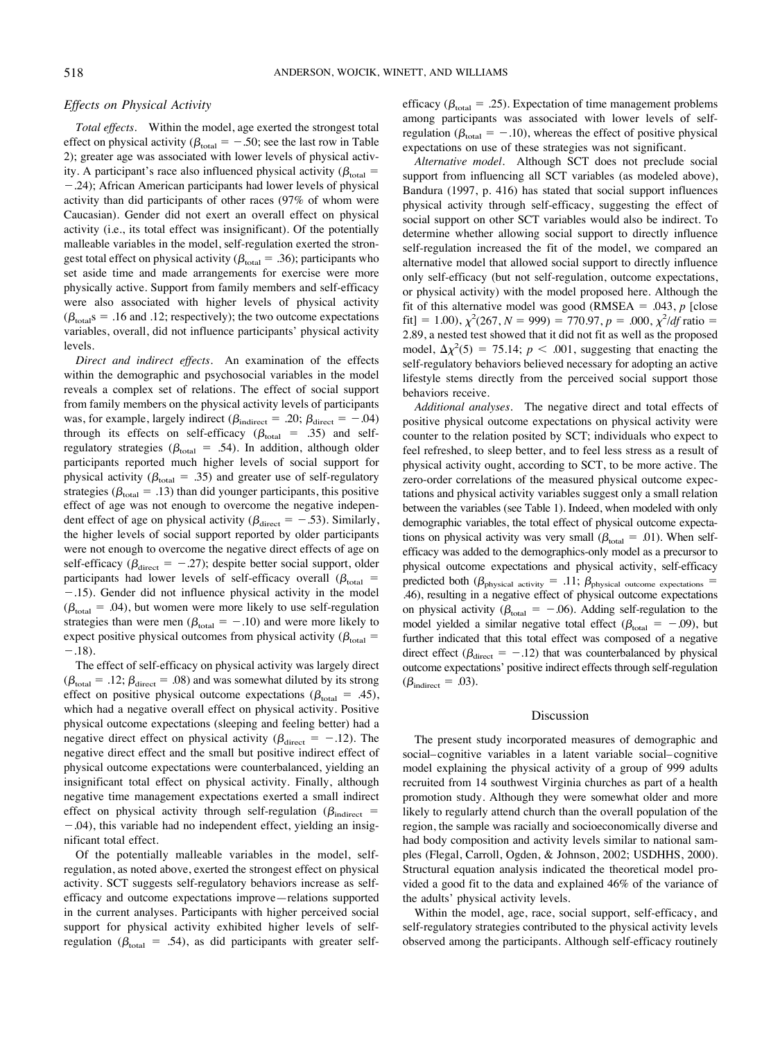# *Effects on Physical Activity*

*Total effects.* Within the model, age exerted the strongest total effect on physical activity ( $\beta_{\text{total}} = -.50$ ; see the last row in Table 2); greater age was associated with lower levels of physical activity. A participant's race also influenced physical activity ( $\beta_{total}$  =

 $-$ .24); African American participants had lower levels of physical activity than did participants of other races (97% of whom were Caucasian). Gender did not exert an overall effect on physical activity (i.e., its total effect was insignificant). Of the potentially malleable variables in the model, self-regulation exerted the strongest total effect on physical activity ( $\beta_{total} = .36$ ); participants who set aside time and made arrangements for exercise were more physically active. Support from family members and self-efficacy were also associated with higher levels of physical activity  $(\beta_{\text{total}} s = .16 \text{ and } .12;$  respectively); the two outcome expectations variables, overall, did not influence participants' physical activity levels.

*Direct and indirect effects.* An examination of the effects within the demographic and psychosocial variables in the model reveals a complex set of relations. The effect of social support from family members on the physical activity levels of participants was, for example, largely indirect ( $\beta_{indirect} = .20$ ;  $\beta_{direct} = -.04$ ) through its effects on self-efficacy ( $\beta_{\text{total}}$  = .35) and selfregulatory strategies ( $\beta_{\text{total}} = .54$ ). In addition, although older participants reported much higher levels of social support for physical activity ( $\beta_{\text{total}} = .35$ ) and greater use of self-regulatory strategies ( $\beta_{total} = .13$ ) than did younger participants, this positive effect of age was not enough to overcome the negative independent effect of age on physical activity ( $\beta_{\text{direct}} = -.53$ ). Similarly, the higher levels of social support reported by older participants were not enough to overcome the negative direct effects of age on self-efficacy ( $\beta_{\text{direct}} = -.27$ ); despite better social support, older participants had lower levels of self-efficacy overall ( $\beta_{\text{total}}$  =  $-0.15$ ). Gender did not influence physical activity in the model  $(\beta_{\text{total}} = .04)$ , but women were more likely to use self-regulation strategies than were men ( $\beta_{\text{total}} = -.10$ ) and were more likely to expect positive physical outcomes from physical activity ( $\beta_{total}$  =  $-.18$ ).

The effect of self-efficacy on physical activity was largely direct  $(\beta_{\text{total}} = .12; \beta_{\text{direct}} = .08)$  and was somewhat diluted by its strong effect on positive physical outcome expectations ( $\beta_{\text{total}} = .45$ ), which had a negative overall effect on physical activity. Positive physical outcome expectations (sleeping and feeling better) had a negative direct effect on physical activity ( $\beta_{\text{direct}} = -.12$ ). The negative direct effect and the small but positive indirect effect of physical outcome expectations were counterbalanced, yielding an insignificant total effect on physical activity. Finally, although negative time management expectations exerted a small indirect effect on physical activity through self-regulation ( $\beta_{indirect}$  =  $-0.04$ ), this variable had no independent effect, yielding an insignificant total effect.

Of the potentially malleable variables in the model, selfregulation, as noted above, exerted the strongest effect on physical activity. SCT suggests self-regulatory behaviors increase as selfefficacy and outcome expectations improve—relations supported in the current analyses. Participants with higher perceived social support for physical activity exhibited higher levels of selfregulation ( $\beta_{\text{total}} = .54$ ), as did participants with greater selfefficacy ( $\beta_{\text{total}} = .25$ ). Expectation of time management problems among participants was associated with lower levels of selfregulation ( $\beta_{total} = -.10$ ), whereas the effect of positive physical expectations on use of these strategies was not significant.

*Alternative model.* Although SCT does not preclude social support from influencing all SCT variables (as modeled above), Bandura (1997, p. 416) has stated that social support influences physical activity through self-efficacy, suggesting the effect of social support on other SCT variables would also be indirect. To determine whether allowing social support to directly influence self-regulation increased the fit of the model, we compared an alternative model that allowed social support to directly influence only self-efficacy (but not self-regulation, outcome expectations, or physical activity) with the model proposed here. Although the fit of this alternative model was good (RMSEA  $= .043$ , *p* [close fit] = 1.00),  $\chi^2(267, N = 999) = 770.97, p = .000, \chi^2/df$  ratio = 2.89, a nested test showed that it did not fit as well as the proposed model,  $\Delta \chi^2(5) = 75.14$ ;  $p < .001$ , suggesting that enacting the self-regulatory behaviors believed necessary for adopting an active lifestyle stems directly from the perceived social support those behaviors receive.

*Additional analyses.* The negative direct and total effects of positive physical outcome expectations on physical activity were counter to the relation posited by SCT; individuals who expect to feel refreshed, to sleep better, and to feel less stress as a result of physical activity ought, according to SCT, to be more active. The zero-order correlations of the measured physical outcome expectations and physical activity variables suggest only a small relation between the variables (see Table 1). Indeed, when modeled with only demographic variables, the total effect of physical outcome expectations on physical activity was very small ( $\beta_{\text{total}} = .01$ ). When selfefficacy was added to the demographics-only model as a precursor to physical outcome expectations and physical activity, self-efficacy predicted both ( $\beta_{\text{physical activity}}$  = .11;  $\beta_{\text{physical outcome expectations}}$  = .46), resulting in a negative effect of physical outcome expectations on physical activity ( $\beta_{\text{total}} = -.06$ ). Adding self-regulation to the model yielded a similar negative total effect ( $\beta_{\text{total}} = -.09$ ), but further indicated that this total effect was composed of a negative direct effect ( $\beta_{\text{direct}} = -.12$ ) that was counterbalanced by physical outcome expectations' positive indirect effects through self-regulation  $(\beta_{\text{indirect}} = .03)$ .

# Discussion

The present study incorporated measures of demographic and social– cognitive variables in a latent variable social– cognitive model explaining the physical activity of a group of 999 adults recruited from 14 southwest Virginia churches as part of a health promotion study. Although they were somewhat older and more likely to regularly attend church than the overall population of the region, the sample was racially and socioeconomically diverse and had body composition and activity levels similar to national samples (Flegal, Carroll, Ogden, & Johnson, 2002; USDHHS, 2000). Structural equation analysis indicated the theoretical model provided a good fit to the data and explained 46% of the variance of the adults' physical activity levels.

Within the model, age, race, social support, self-efficacy, and self-regulatory strategies contributed to the physical activity levels observed among the participants. Although self-efficacy routinely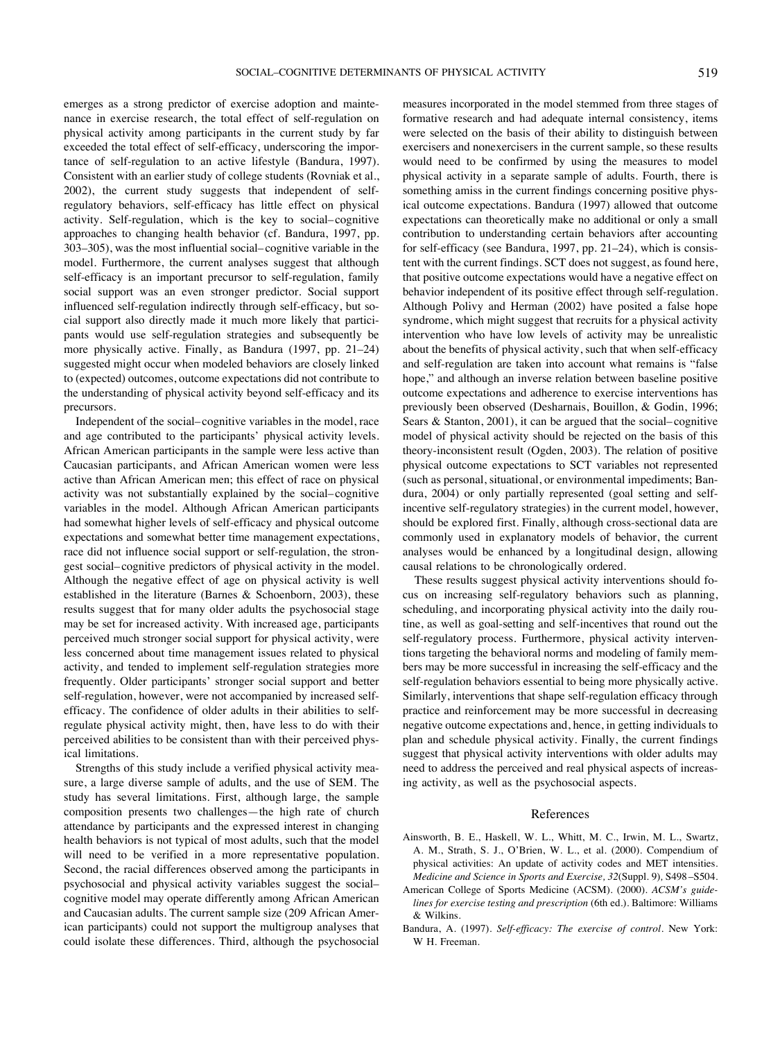emerges as a strong predictor of exercise adoption and maintenance in exercise research, the total effect of self-regulation on physical activity among participants in the current study by far exceeded the total effect of self-efficacy, underscoring the importance of self-regulation to an active lifestyle (Bandura, 1997). Consistent with an earlier study of college students (Rovniak et al., 2002), the current study suggests that independent of selfregulatory behaviors, self-efficacy has little effect on physical activity. Self-regulation, which is the key to social– cognitive approaches to changing health behavior (cf. Bandura, 1997, pp. 303–305), was the most influential social– cognitive variable in the model. Furthermore, the current analyses suggest that although self-efficacy is an important precursor to self-regulation, family social support was an even stronger predictor. Social support influenced self-regulation indirectly through self-efficacy, but social support also directly made it much more likely that participants would use self-regulation strategies and subsequently be more physically active. Finally, as Bandura (1997, pp. 21–24) suggested might occur when modeled behaviors are closely linked to (expected) outcomes, outcome expectations did not contribute to the understanding of physical activity beyond self-efficacy and its precursors.

Independent of the social– cognitive variables in the model, race and age contributed to the participants' physical activity levels. African American participants in the sample were less active than Caucasian participants, and African American women were less active than African American men; this effect of race on physical activity was not substantially explained by the social– cognitive variables in the model. Although African American participants had somewhat higher levels of self-efficacy and physical outcome expectations and somewhat better time management expectations, race did not influence social support or self-regulation, the strongest social– cognitive predictors of physical activity in the model. Although the negative effect of age on physical activity is well established in the literature (Barnes & Schoenborn, 2003), these results suggest that for many older adults the psychosocial stage may be set for increased activity. With increased age, participants perceived much stronger social support for physical activity, were less concerned about time management issues related to physical activity, and tended to implement self-regulation strategies more frequently. Older participants' stronger social support and better self-regulation, however, were not accompanied by increased selfefficacy. The confidence of older adults in their abilities to selfregulate physical activity might, then, have less to do with their perceived abilities to be consistent than with their perceived physical limitations.

Strengths of this study include a verified physical activity measure, a large diverse sample of adults, and the use of SEM. The study has several limitations. First, although large, the sample composition presents two challenges—the high rate of church attendance by participants and the expressed interest in changing health behaviors is not typical of most adults, such that the model will need to be verified in a more representative population. Second, the racial differences observed among the participants in psychosocial and physical activity variables suggest the social– cognitive model may operate differently among African American and Caucasian adults. The current sample size (209 African American participants) could not support the multigroup analyses that could isolate these differences. Third, although the psychosocial

measures incorporated in the model stemmed from three stages of formative research and had adequate internal consistency, items were selected on the basis of their ability to distinguish between exercisers and nonexercisers in the current sample, so these results would need to be confirmed by using the measures to model physical activity in a separate sample of adults. Fourth, there is something amiss in the current findings concerning positive physical outcome expectations. Bandura (1997) allowed that outcome expectations can theoretically make no additional or only a small contribution to understanding certain behaviors after accounting for self-efficacy (see Bandura, 1997, pp. 21–24), which is consistent with the current findings. SCT does not suggest, as found here, that positive outcome expectations would have a negative effect on behavior independent of its positive effect through self-regulation. Although Polivy and Herman (2002) have posited a false hope syndrome, which might suggest that recruits for a physical activity intervention who have low levels of activity may be unrealistic about the benefits of physical activity, such that when self-efficacy and self-regulation are taken into account what remains is "false hope," and although an inverse relation between baseline positive outcome expectations and adherence to exercise interventions has previously been observed (Desharnais, Bouillon, & Godin, 1996; Sears & Stanton, 2001), it can be argued that the social– cognitive model of physical activity should be rejected on the basis of this theory-inconsistent result (Ogden, 2003). The relation of positive physical outcome expectations to SCT variables not represented (such as personal, situational, or environmental impediments; Bandura, 2004) or only partially represented (goal setting and selfincentive self-regulatory strategies) in the current model, however, should be explored first. Finally, although cross-sectional data are commonly used in explanatory models of behavior, the current analyses would be enhanced by a longitudinal design, allowing causal relations to be chronologically ordered.

These results suggest physical activity interventions should focus on increasing self-regulatory behaviors such as planning, scheduling, and incorporating physical activity into the daily routine, as well as goal-setting and self-incentives that round out the self-regulatory process. Furthermore, physical activity interventions targeting the behavioral norms and modeling of family members may be more successful in increasing the self-efficacy and the self-regulation behaviors essential to being more physically active. Similarly, interventions that shape self-regulation efficacy through practice and reinforcement may be more successful in decreasing negative outcome expectations and, hence, in getting individuals to plan and schedule physical activity. Finally, the current findings suggest that physical activity interventions with older adults may need to address the perceived and real physical aspects of increasing activity, as well as the psychosocial aspects.

## References

- Ainsworth, B. E., Haskell, W. L., Whitt, M. C., Irwin, M. L., Swartz, A. M., Strath, S. J., O'Brien, W. L., et al. (2000). Compendium of physical activities: An update of activity codes and MET intensities. *Medicine and Science in Sports and Exercise, 32*(Suppl. 9)*,* S498 –S504.
- American College of Sports Medicine (ACSM). (2000). *ACSM's guidelines for exercise testing and prescription* (6th ed.). Baltimore: Williams & Wilkins.
- Bandura, A. (1997). *Self-efficacy: The exercise of control.* New York: W H. Freeman.